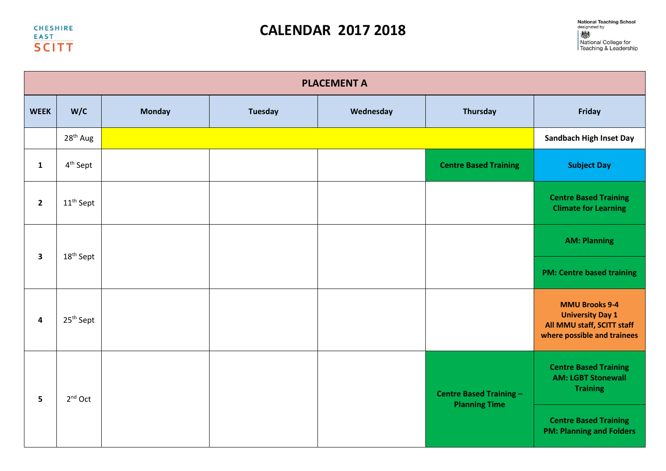**CHESHIRE EAST SCITT** 

## **CALENDAR 2017 2018**

|                         | <b>PLACEMENT A</b>    |               |                      |                                |                                                                              |                                                                                                               |  |  |  |
|-------------------------|-----------------------|---------------|----------------------|--------------------------------|------------------------------------------------------------------------------|---------------------------------------------------------------------------------------------------------------|--|--|--|
| <b>WEEK</b>             | W/C                   | <b>Monday</b> | <b>Tuesday</b>       | Wednesday                      | <b>Thursday</b>                                                              | Friday                                                                                                        |  |  |  |
|                         | 28 <sup>th</sup> Aug  |               |                      |                                |                                                                              | <b>Sandbach High Inset Day</b>                                                                                |  |  |  |
| $\mathbf{1}$            | 4 <sup>th</sup> Sept  |               |                      |                                | <b>Centre Based Training</b>                                                 | <b>Subject Day</b>                                                                                            |  |  |  |
| $\overline{2}$          | 11 <sup>th</sup> Sept |               |                      |                                |                                                                              | <b>Centre Based Training</b><br><b>Climate for Learning</b>                                                   |  |  |  |
| $\overline{\mathbf{3}}$ | $18^{\text{th}}$ Sept |               |                      |                                |                                                                              | <b>AM: Planning</b>                                                                                           |  |  |  |
|                         |                       |               |                      |                                |                                                                              | <b>PM: Centre based training</b>                                                                              |  |  |  |
| $\overline{\mathbf{4}}$ | $25th$ Sept           |               |                      |                                |                                                                              | <b>MMU Brooks 9-4</b><br><b>University Day 1</b><br>All MMU staff, SCITT staff<br>where possible and trainees |  |  |  |
| 5                       | $2nd$ Oct             |               | <b>Planning Time</b> | <b>Centre Based Training -</b> | <b>Centre Based Training</b><br><b>AM: LGBT Stonewall</b><br><b>Training</b> |                                                                                                               |  |  |  |
|                         |                       |               |                      |                                | <b>Centre Based Training</b><br><b>PM: Planning and Folders</b>              |                                                                                                               |  |  |  |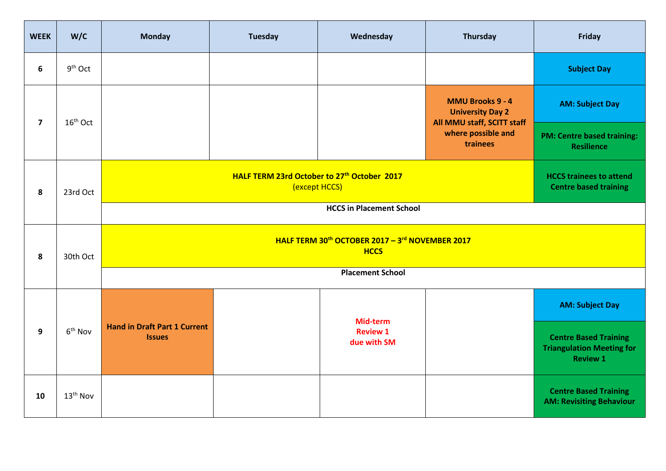| <b>WEEK</b>             | W/C                                                                                  | <b>Monday</b>                                                                          | <b>Tuesday</b> | Wednesday                      | Thursday                                                     | Friday                                                                              |  |
|-------------------------|--------------------------------------------------------------------------------------|----------------------------------------------------------------------------------------|----------------|--------------------------------|--------------------------------------------------------------|-------------------------------------------------------------------------------------|--|
| 6                       | 9 <sup>th</sup> Oct                                                                  |                                                                                        |                |                                |                                                              | <b>Subject Day</b>                                                                  |  |
| $\overline{\mathbf{z}}$ | $16th$ Oct                                                                           |                                                                                        |                |                                | <b>MMU Brooks 9 - 4</b><br><b>University Day 2</b>           | <b>AM: Subject Day</b>                                                              |  |
|                         |                                                                                      |                                                                                        |                |                                | All MMU staff, SCITT staff<br>where possible and<br>trainees | <b>PM: Centre based training:</b><br><b>Resilience</b>                              |  |
| 8                       | HALF TERM 23rd October to 27 <sup>th</sup> October 2017<br>(except HCCS)<br>23rd Oct |                                                                                        |                |                                |                                                              | <b>HCCS trainees to attend</b><br><b>Centre based training</b>                      |  |
|                         |                                                                                      |                                                                                        |                |                                |                                                              |                                                                                     |  |
| 8                       | 30th Oct                                                                             | HALF TERM 30 <sup>th</sup> OCTOBER 2017 - 3 <sup>rd</sup> NOVEMBER 2017<br><b>HCCS</b> |                |                                |                                                              |                                                                                     |  |
|                         |                                                                                      | <b>Placement School</b>                                                                |                |                                |                                                              |                                                                                     |  |
|                         | 6 <sup>th</sup> Nov                                                                  |                                                                                        |                | Mid-term                       |                                                              | <b>AM: Subject Day</b>                                                              |  |
| 9                       |                                                                                      | <b>Hand in Draft Part 1 Current</b><br><b>Issues</b>                                   |                | <b>Review 1</b><br>due with SM |                                                              | <b>Centre Based Training</b><br><b>Triangulation Meeting for</b><br><b>Review 1</b> |  |
| 10                      | 13 <sup>th</sup> Nov                                                                 |                                                                                        |                |                                |                                                              | <b>Centre Based Training</b><br><b>AM: Revisiting Behaviour</b>                     |  |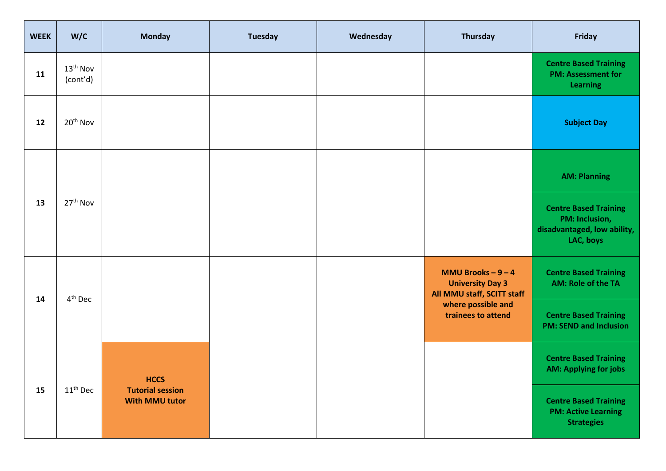| <b>WEEK</b> | W/C                              | <b>Monday</b>                                    | <b>Tuesday</b> | Wednesday | Thursday                                                                                                                       | Friday                                                                                     |
|-------------|----------------------------------|--------------------------------------------------|----------------|-----------|--------------------------------------------------------------------------------------------------------------------------------|--------------------------------------------------------------------------------------------|
| 11          | 13 <sup>th</sup> Nov<br>(cont'd) |                                                  |                |           |                                                                                                                                | <b>Centre Based Training</b><br><b>PM: Assessment for</b><br><b>Learning</b>               |
| 12          | 20 <sup>th</sup> Nov             |                                                  |                |           |                                                                                                                                | <b>Subject Day</b>                                                                         |
|             |                                  |                                                  |                |           |                                                                                                                                | <b>AM: Planning</b>                                                                        |
| 13          | 27 <sup>th</sup> Nov             |                                                  |                |           |                                                                                                                                | <b>Centre Based Training</b><br>PM: Inclusion,<br>disadvantaged, low ability,<br>LAC, boys |
| 14          | 4 <sup>th</sup> Dec              |                                                  |                |           | <b>MMU Brooks - 9 - 4</b><br><b>University Day 3</b><br>All MMU staff, SCITT staff<br>where possible and<br>trainees to attend | <b>Centre Based Training</b><br><b>AM: Role of the TA</b>                                  |
|             |                                  |                                                  |                |           |                                                                                                                                | <b>Centre Based Training</b><br><b>PM: SEND and Inclusion</b>                              |
|             |                                  | <b>HCCS</b>                                      |                |           |                                                                                                                                | <b>Centre Based Training</b><br><b>AM: Applying for jobs</b>                               |
| 15          | $11^{\text{th}}$ Dec             | <b>Tutorial session</b><br><b>With MMU tutor</b> |                |           |                                                                                                                                | <b>Centre Based Training</b><br><b>PM: Active Learning</b><br><b>Strategies</b>            |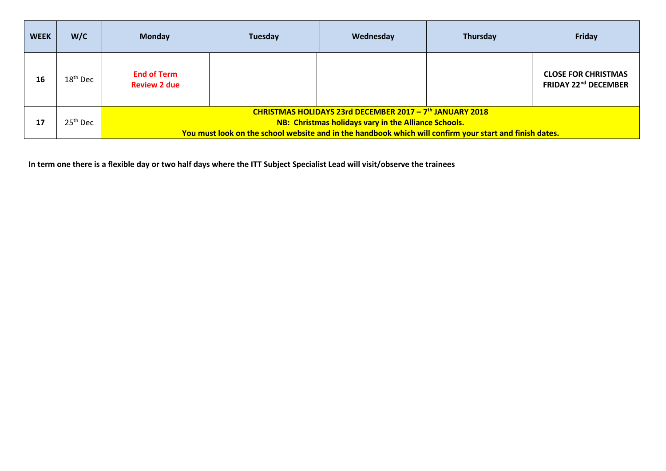| <b>WEEK</b> | W/C        | <b>Monday</b>                                                                                                                                                                                                                                  | Tuesday | Wednesday | Thursday | Friday                                                    |  |
|-------------|------------|------------------------------------------------------------------------------------------------------------------------------------------------------------------------------------------------------------------------------------------------|---------|-----------|----------|-----------------------------------------------------------|--|
| 16          | $18th$ Dec | <b>End of Term</b><br><b>Review 2 due</b>                                                                                                                                                                                                      |         |           |          | <b>CLOSE FOR CHRISTMAS</b><br><b>FRIDAY 22nd DECEMBER</b> |  |
| 17          | $25th$ Dec | CHRISTMAS HOLIDAYS 23rd DECEMBER 2017 - 7 <sup>th</sup> JANUARY 2018<br><b>NB: Christmas holidays vary in the Alliance Schools.</b><br>You must look on the school website and in the handbook which will confirm your start and finish dates. |         |           |          |                                                           |  |

**In term one there is a flexible day or two half days where the ITT Subject Specialist Lead will visit/observe the trainees**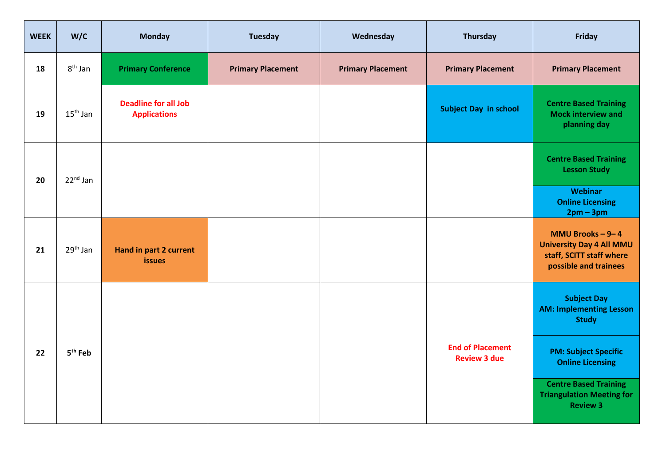| <b>WEEK</b> | W/C                  | <b>Monday</b>                                      | <b>Tuesday</b>           | Wednesday                | Thursday                                       | Friday                                                                                                          |
|-------------|----------------------|----------------------------------------------------|--------------------------|--------------------------|------------------------------------------------|-----------------------------------------------------------------------------------------------------------------|
| 18          | $8th$ Jan            | <b>Primary Conference</b>                          | <b>Primary Placement</b> | <b>Primary Placement</b> | <b>Primary Placement</b>                       | <b>Primary Placement</b>                                                                                        |
| 19          | $15th$ Jan           | <b>Deadline for all Job</b><br><b>Applications</b> |                          |                          | <b>Subject Day in school</b>                   | <b>Centre Based Training</b><br><b>Mock interview and</b><br>planning day                                       |
| 20          | 22 <sup>nd</sup> Jan |                                                    |                          |                          |                                                | <b>Centre Based Training</b><br><b>Lesson Study</b><br>Webinar                                                  |
|             |                      |                                                    |                          |                          |                                                | <b>Online Licensing</b><br>$2pm-3pm$                                                                            |
| 21          | 29 <sup>th</sup> Jan | <b>Hand in part 2 current</b><br><b>issues</b>     |                          |                          |                                                | <b>MMU Brooks - 9-4</b><br><b>University Day 4 All MMU</b><br>staff, SCITT staff where<br>possible and trainees |
|             |                      |                                                    |                          |                          |                                                | <b>Subject Day</b><br><b>AM: Implementing Lesson</b><br><b>Study</b>                                            |
| 22          | 5 <sup>th</sup> Feb  |                                                    |                          |                          | <b>End of Placement</b><br><b>Review 3 due</b> | <b>PM: Subject Specific</b><br><b>Online Licensing</b>                                                          |
|             |                      |                                                    |                          |                          |                                                | <b>Centre Based Training</b><br><b>Triangulation Meeting for</b><br><b>Review 3</b>                             |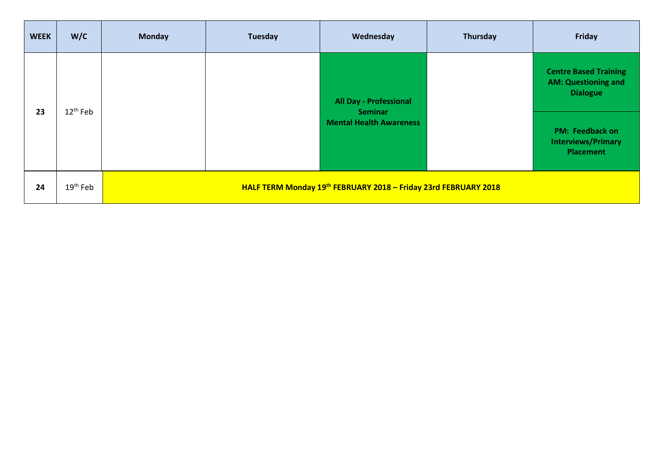| <b>WEEK</b> | W/C                  | <b>Monday</b>                                                   | <b>Tuesday</b>                 | Wednesday                                       | Thursday                                                         | Friday                                                                        |
|-------------|----------------------|-----------------------------------------------------------------|--------------------------------|-------------------------------------------------|------------------------------------------------------------------|-------------------------------------------------------------------------------|
| 23          | $12^{\text{th}}$ Feb |                                                                 |                                | <b>All Day - Professional</b><br><b>Seminar</b> |                                                                  | <b>Centre Based Training</b><br><b>AM: Questioning and</b><br><b>Dialogue</b> |
|             |                      |                                                                 | <b>Mental Health Awareness</b> |                                                 | <b>PM: Feedback on</b><br><b>Interviews/Primary</b><br>Placement |                                                                               |
| 24          | 19 <sup>th</sup> Feb | HALF TERM Monday 19th FEBRUARY 2018 - Friday 23rd FEBRUARY 2018 |                                |                                                 |                                                                  |                                                                               |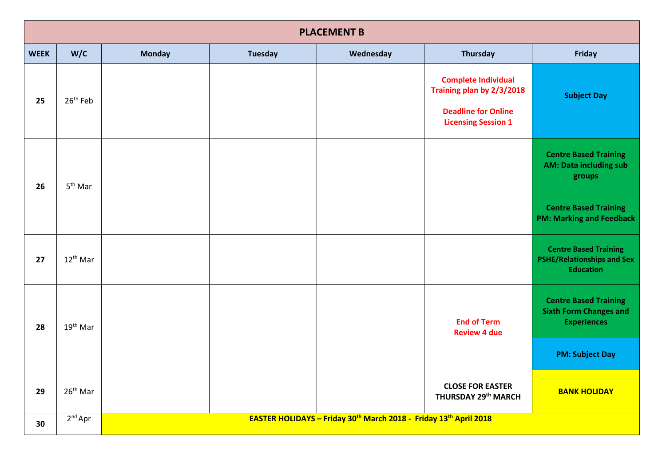|             | <b>PLACEMENT B</b>   |               |                                                                   |           |                                                                                                                     |                                                                                       |  |  |
|-------------|----------------------|---------------|-------------------------------------------------------------------|-----------|---------------------------------------------------------------------------------------------------------------------|---------------------------------------------------------------------------------------|--|--|
| <b>WEEK</b> | W/C                  | <b>Monday</b> | <b>Tuesday</b>                                                    | Wednesday | Thursday                                                                                                            | <b>Friday</b>                                                                         |  |  |
| 25          | 26 <sup>th</sup> Feb |               |                                                                   |           | <b>Complete Individual</b><br>Training plan by 2/3/2018<br><b>Deadline for Online</b><br><b>Licensing Session 1</b> | <b>Subject Day</b>                                                                    |  |  |
| 26          | 5 <sup>th</sup> Mar  |               |                                                                   |           |                                                                                                                     | <b>Centre Based Training</b><br><b>AM: Data including sub</b><br>groups               |  |  |
|             |                      |               |                                                                   |           |                                                                                                                     | <b>Centre Based Training</b><br><b>PM: Marking and Feedback</b>                       |  |  |
| 27          | $12^{th}$ Mar        |               |                                                                   |           |                                                                                                                     | <b>Centre Based Training</b><br><b>PSHE/Relationships and Sex</b><br><b>Education</b> |  |  |
| 28          | $19th$ Mar           |               |                                                                   |           | <b>End of Term</b><br><b>Review 4 due</b>                                                                           | <b>Centre Based Training</b><br><b>Sixth Form Changes and</b><br><b>Experiences</b>   |  |  |
|             |                      |               |                                                                   |           |                                                                                                                     | <b>PM: Subject Day</b>                                                                |  |  |
| 29          | $26th$ Mar           |               |                                                                   |           | <b>CLOSE FOR EASTER</b><br>THURSDAY 29 <sup>th</sup> MARCH                                                          | <b>BANK HOLIDAY</b>                                                                   |  |  |
| 30          | $2nd$ Apr            |               | EASTER HOLIDAYS - Friday 30th March 2018 - Friday 13th April 2018 |           |                                                                                                                     |                                                                                       |  |  |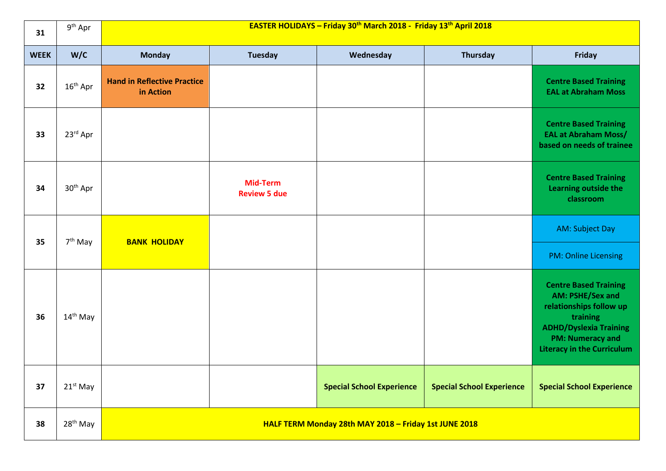| 31          | $9^{th}$ Apr         |                                                 | EASTER HOLIDAYS - Friday 30th March 2018 - Friday 13th April 2018 |                                                       |                                  |                                                                                                                                                                                          |  |  |
|-------------|----------------------|-------------------------------------------------|-------------------------------------------------------------------|-------------------------------------------------------|----------------------------------|------------------------------------------------------------------------------------------------------------------------------------------------------------------------------------------|--|--|
| <b>WEEK</b> | W/C                  | <b>Monday</b>                                   | <b>Tuesday</b>                                                    | Wednesday                                             | Thursday                         | Friday                                                                                                                                                                                   |  |  |
| 32          | $16th$ Apr           | <b>Hand in Reflective Practice</b><br>in Action |                                                                   |                                                       |                                  | <b>Centre Based Training</b><br><b>EAL at Abraham Moss</b>                                                                                                                               |  |  |
| 33          | 23rd Apr             |                                                 |                                                                   |                                                       |                                  | <b>Centre Based Training</b><br><b>EAL at Abraham Moss/</b><br>based on needs of trainee                                                                                                 |  |  |
| 34          | 30 <sup>th</sup> Apr |                                                 | <b>Mid-Term</b><br><b>Review 5 due</b>                            |                                                       |                                  | <b>Centre Based Training</b><br>Learning outside the<br>classroom                                                                                                                        |  |  |
| 35          | 7 <sup>th</sup> May  | <b>BANK HOLIDAY</b>                             |                                                                   |                                                       |                                  | AM: Subject Day                                                                                                                                                                          |  |  |
|             |                      |                                                 |                                                                   |                                                       |                                  | <b>PM: Online Licensing</b>                                                                                                                                                              |  |  |
| 36          | 14 <sup>th</sup> May |                                                 |                                                                   |                                                       |                                  | <b>Centre Based Training</b><br>AM: PSHE/Sex and<br>relationships follow up<br>training<br><b>ADHD/Dyslexia Training</b><br><b>PM: Numeracy and</b><br><b>Literacy in the Curriculum</b> |  |  |
| 37          | $21st$ May           |                                                 |                                                                   | <b>Special School Experience</b>                      | <b>Special School Experience</b> | <b>Special School Experience</b>                                                                                                                                                         |  |  |
| 38          | 28 <sup>th</sup> May |                                                 |                                                                   | HALF TERM Monday 28th MAY 2018 - Friday 1st JUNE 2018 |                                  |                                                                                                                                                                                          |  |  |